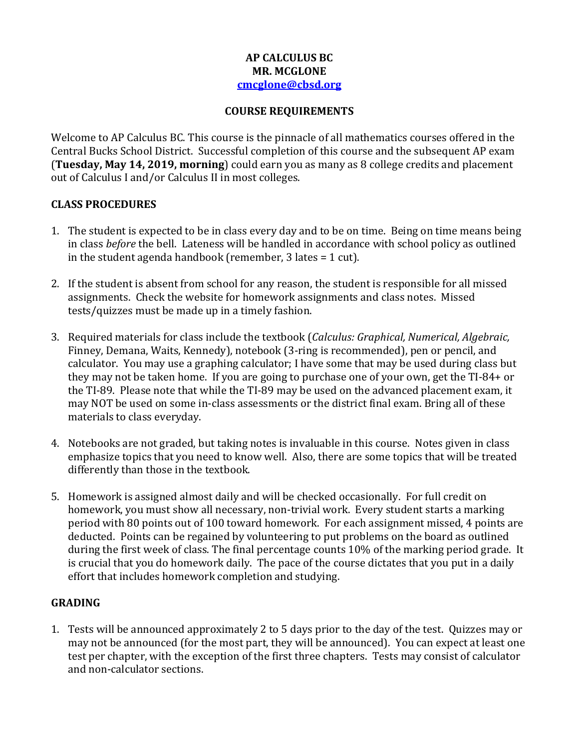### **AP CALCULUS BC MR. MCGLONE [cmcglone@cbsd.org](mailto:cmcglone@cbsd.org)**

#### **COURSE REQUIREMENTS**

Welcome to AP Calculus BC. This course is the pinnacle of all mathematics courses offered in the Central Bucks School District. Successful completion of this course and the subsequent AP exam (**Tuesday, May 14, 2019, morning**) could earn you as many as 8 college credits and placement out of Calculus I and/or Calculus II in most colleges.

### **CLASS PROCEDURES**

- 1. The student is expected to be in class every day and to be on time. Being on time means being in class *before* the bell. Lateness will be handled in accordance with school policy as outlined in the student agenda handbook (remember, 3 lates = 1 cut).
- 2. If the student is absent from school for any reason, the student is responsible for all missed assignments. Check the website for homework assignments and class notes. Missed tests/quizzes must be made up in a timely fashion.
- 3. Required materials for class include the textbook (*Calculus: Graphical, Numerical, Algebraic,* Finney, Demana, Waits, Kennedy), notebook (3-ring is recommended), pen or pencil, and calculator. You may use a graphing calculator; I have some that may be used during class but they may not be taken home. If you are going to purchase one of your own, get the TI-84+ or the TI-89. Please note that while the TI-89 may be used on the advanced placement exam, it may NOT be used on some in-class assessments or the district final exam. Bring all of these materials to class everyday.
- 4. Notebooks are not graded, but taking notes is invaluable in this course. Notes given in class emphasize topics that you need to know well. Also, there are some topics that will be treated differently than those in the textbook.
- 5. Homework is assigned almost daily and will be checked occasionally. For full credit on homework, you must show all necessary, non-trivial work. Every student starts a marking period with 80 points out of 100 toward homework. For each assignment missed, 4 points are deducted. Points can be regained by volunteering to put problems on the board as outlined during the first week of class. The final percentage counts 10% of the marking period grade. It is crucial that you do homework daily. The pace of the course dictates that you put in a daily effort that includes homework completion and studying.

## **GRADING**

1. Tests will be announced approximately 2 to 5 days prior to the day of the test. Quizzes may or may not be announced (for the most part, they will be announced). You can expect at least one test per chapter, with the exception of the first three chapters. Tests may consist of calculator and non-calculator sections.